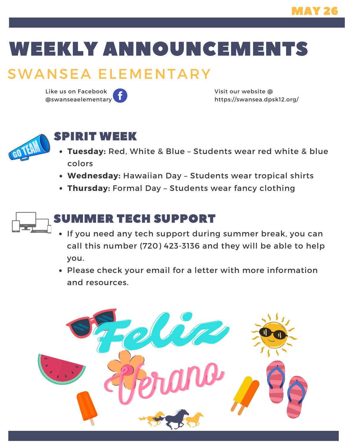## WEEKLY ANNOUNCEMENTS

## SWANSEA ELEMENTARY

Like us on Facebook @swanseaelementary Visit our website @ https://swansea.dpsk12.org/



#### SPIRIT WEEK

- **Tuesday:** Red, White & Blue Students wear red white & blue colors
- **Wednesday:** Hawaiian Day Students wear tropical shirts
- **Thursday:** Formal Day Students wear fancy clothing



#### SUMMER TECH SUPPORT

- If you need any tech support during summer break, you can call this number (720) 423-3136 and they will be able to help you.
- Please check your email for a letter with more information and resources.